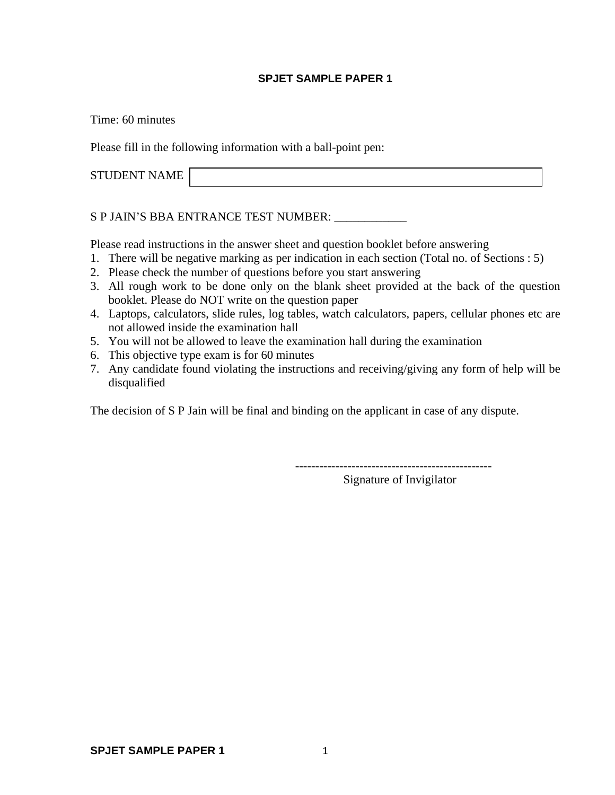#### **SPJET SAMPLE PAPER 1**

Time: 60 minutes

Please fill in the following information with a ball-point pen:

STUDENT NAME

S P JAIN'S BBA ENTRANCE TEST NUMBER:

Please read instructions in the answer sheet and question booklet before answering

- 1. There will be negative marking as per indication in each section (Total no. of Sections : 5)
- 2. Please check the number of questions before you start answering
- 3. All rough work to be done only on the blank sheet provided at the back of the question booklet. Please do NOT write on the question paper
- 4. Laptops, calculators, slide rules, log tables, watch calculators, papers, cellular phones etc are not allowed inside the examination hall
- 5. You will not be allowed to leave the examination hall during the examination
- 6. This objective type exam is for 60 minutes
- 7. Any candidate found violating the instructions and receiving/giving any form of help will be disqualified

The decision of S P Jain will be final and binding on the applicant in case of any dispute.

Signature of Invigilator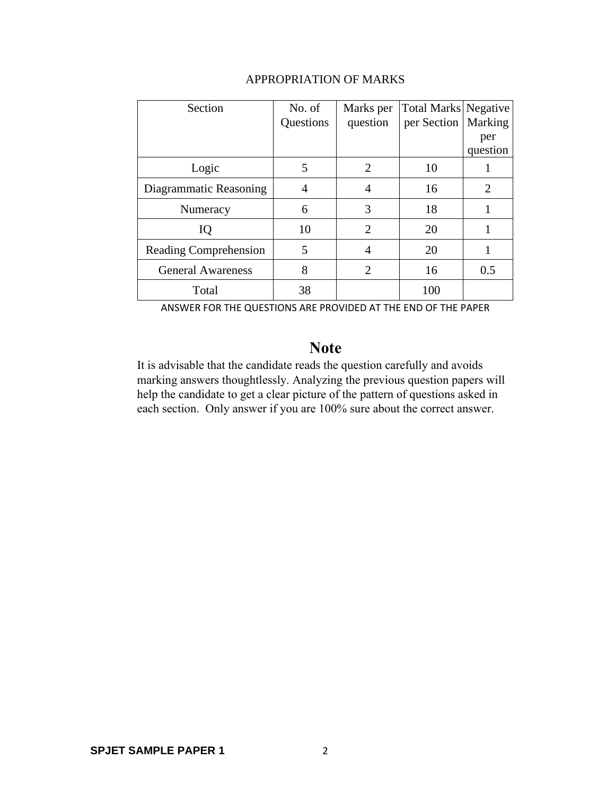| Section                  | No. of    | Marks per                   | <b>Total Marks Negative</b> |          |
|--------------------------|-----------|-----------------------------|-----------------------------|----------|
|                          | Questions | question                    | per Section                 | Marking  |
|                          |           |                             |                             | per      |
|                          |           |                             |                             | question |
| Logic                    | 5         | $\mathcal{D}_{\cdot}$       | 10                          |          |
| Diagrammatic Reasoning   |           |                             | 16                          | 2        |
| Numeracy                 | 6         | 3                           | 18                          |          |
| IQ                       | 10        | $\mathcal{D}_{\mathcal{L}}$ | 20                          |          |
| Reading Comprehension    | 5         |                             | 20                          |          |
| <b>General Awareness</b> | 8         | $\mathcal{D}_{\cdot}$       | 16                          | 0.5      |
| Total                    | 38        |                             | 100                         |          |

## APPROPRIATION OF MARKS

ANSWER FOR THE QUESTIONS ARE PROVIDED AT THE END OF THE PAPER

# **Note**

It is advisable that the candidate reads the question carefully and avoids marking answers thoughtlessly. Analyzing the previous question papers will help the candidate to get a clear picture of the pattern of questions asked in each section. Only answer if you are 100% sure about the correct answer.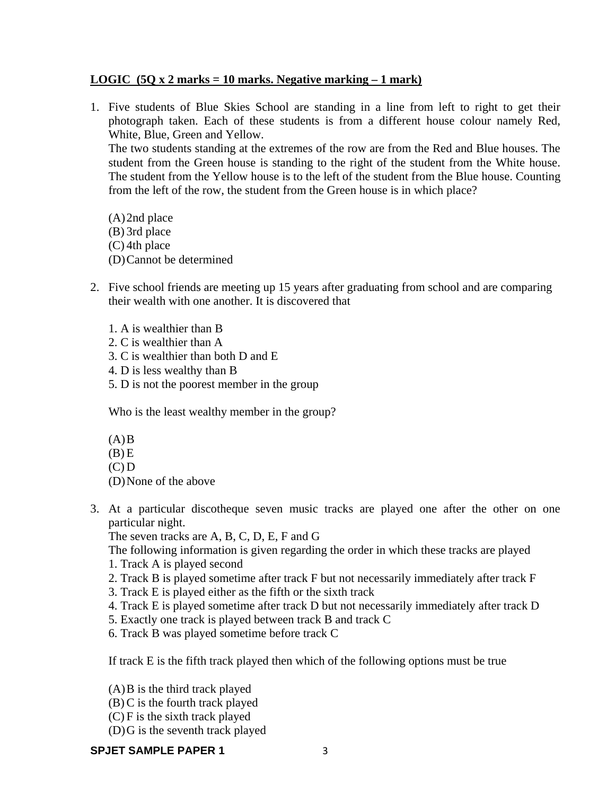## **LOGIC (5Q x 2 marks = 10 marks. Negative marking – 1 mark)**

1. Five students of Blue Skies School are standing in a line from left to right to get their photograph taken. Each of these students is from a different house colour namely Red, White, Blue, Green and Yellow.

 The two students standing at the extremes of the row are from the Red and Blue houses. The student from the Green house is standing to the right of the student from the White house. The student from the Yellow house is to the left of the student from the Blue house. Counting from the left of the row, the student from the Green house is in which place?

(A)2nd place (B) 3rd place (C) 4th place (D)Cannot be determined

- 2. Five school friends are meeting up 15 years after graduating from school and are comparing their wealth with one another. It is discovered that
	- 1. A is wealthier than B
	- 2. C is wealthier than A
	- 3. C is wealthier than both D and E
	- 4. D is less wealthy than B
	- 5. D is not the poorest member in the group

Who is the least wealthy member in the group?

 $(A)$ B

- $(B)$  E
- $(C) D$

(D)None of the above

3. At a particular discotheque seven music tracks are played one after the other on one particular night.

The seven tracks are A, B, C, D, E, F and G

The following information is given regarding the order in which these tracks are played

- 1. Track A is played second
- 2. Track B is played sometime after track F but not necessarily immediately after track F
- 3. Track E is played either as the fifth or the sixth track
- 4. Track E is played sometime after track D but not necessarily immediately after track D
- 5. Exactly one track is played between track B and track C
- 6. Track B was played sometime before track C

If track E is the fifth track played then which of the following options must be true

(A)B is the third track played

- (B) C is the fourth track played
- (C) F is the sixth track played
- (D)G is the seventh track played

### **SPJET SAMPLE PAPER 1** 3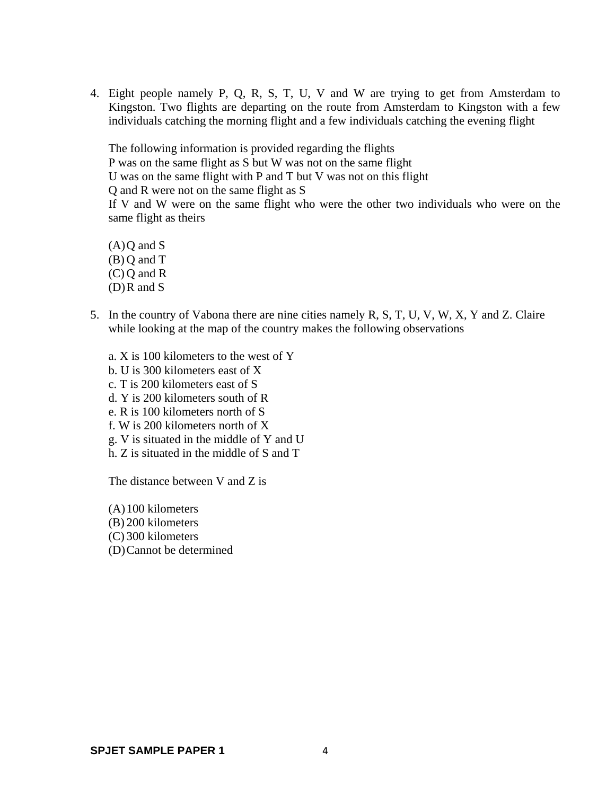4. Eight people namely P, Q, R, S, T, U, V and W are trying to get from Amsterdam to Kingston. Two flights are departing on the route from Amsterdam to Kingston with a few individuals catching the morning flight and a few individuals catching the evening flight

The following information is provided regarding the flights P was on the same flight as S but W was not on the same flight U was on the same flight with P and T but V was not on this flight Q and R were not on the same flight as S If V and W were on the same flight who were the other two individuals who were on the same flight as theirs

 $(A)Q$  and S (B) Q and T (C) Q and R  $(D)$ R and S

- 5. In the country of Vabona there are nine cities namely R, S, T, U, V, W, X, Y and Z. Claire while looking at the map of the country makes the following observations
	- a. X is 100 kilometers to the west of Y b. U is 300 kilometers east of X c. T is 200 kilometers east of S d. Y is 200 kilometers south of R e. R is 100 kilometers north of S f. W is 200 kilometers north of X g. V is situated in the middle of Y and U h. Z is situated in the middle of S and T

The distance between V and Z is

(A)100 kilometers (B) 200 kilometers (C) 300 kilometers (D)Cannot be determined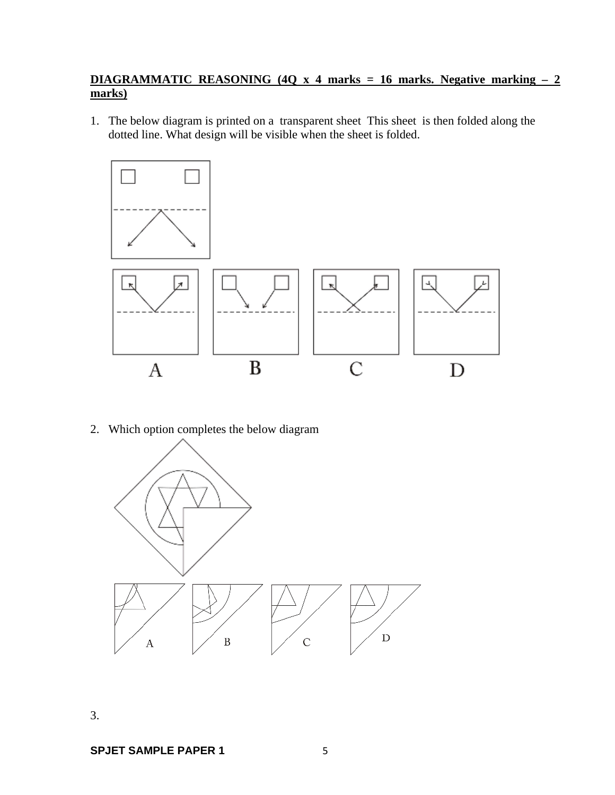## **DIAGRAMMATIC REASONING (4Q x 4 marks = 16 marks. Negative marking – 2 marks)**

1. The below diagram is printed on a transparent sheet This sheet is then folded along the dotted line. What design will be visible when the sheet is folded.



2. Which option completes the below diagram



3.

**SPJET SAMPLE PAPER 1** 5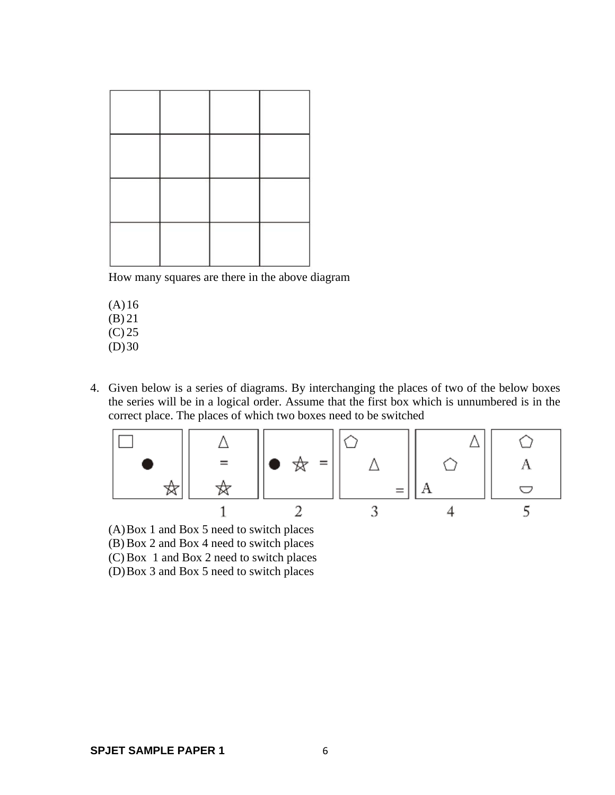| L | <u> Ingenis e de la propincia de la propincia de la propincia de la propincia de la propincia de la propincia de la propincia de la propincia de la propincia de la propincia de la propincia de la propincia de la propincia de</u> | Г |
|---|--------------------------------------------------------------------------------------------------------------------------------------------------------------------------------------------------------------------------------------|---|

How many squares are there in the above diagram

- $(A)16$ (B) 21
- (C) 25  $(D)30$
- 4. Given below is a series of diagrams. By interchanging the places of two of the below boxes the series will be in a logical order. Assume that the first box which is unnumbered is in the correct place. The places of which two boxes need to be switched



(A)Box 1 and Box 5 need to switch places (B) Box 2 and Box 4 need to switch places (C) Box 1 and Box 2 need to switch places (D)Box 3 and Box 5 need to switch places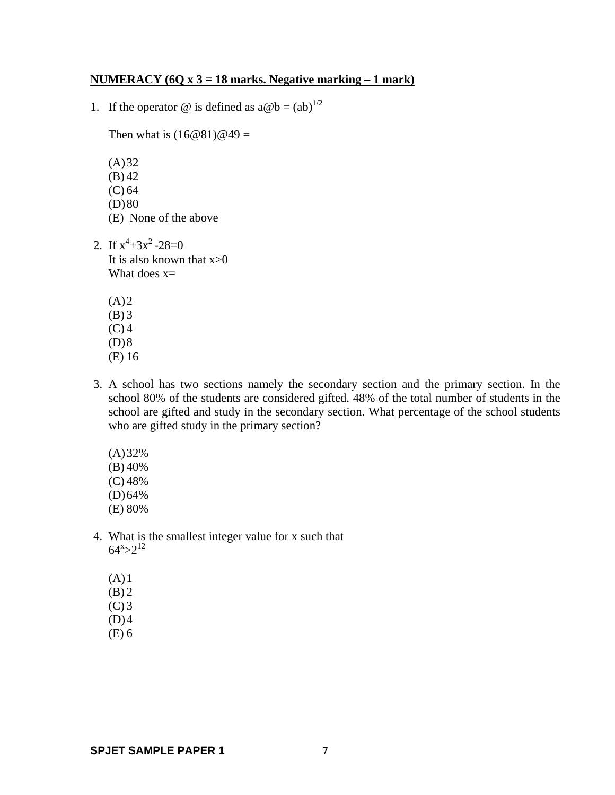#### **NUMERACY (6Q x 3 = 18 marks. Negative marking – 1 mark)**

1. If the operator  $\circledcirc$  is defined as  $a \circledcirc b = (ab)^{1/2}$ 

Then what is  $(16@81)@49=$ 

 $(A)32$ (B) 42 (C) 64  $(D)80$ (E) None of the above

- 2. If  $x^4 + 3x^2 28 = 0$ It is also known that  $x>0$ What does  $x=$ 
	- $(A)2$ (B) 3  $(C)$  4  $(D)8$ (E) 16
- 3. A school has two sections namely the secondary section and the primary section. In the school 80% of the students are considered gifted. 48% of the total number of students in the school are gifted and study in the secondary section. What percentage of the school students who are gifted study in the primary section?
	- (A)32% (B) 40% (C) 48% (D)64% (E) 80%
- 4. What is the smallest integer value for x such that  $64^{x} > 2^{12}$ 
	- $(A)1$  $(B)$  2
	- $(C)$  3
	- $(D)4$
	- (E) 6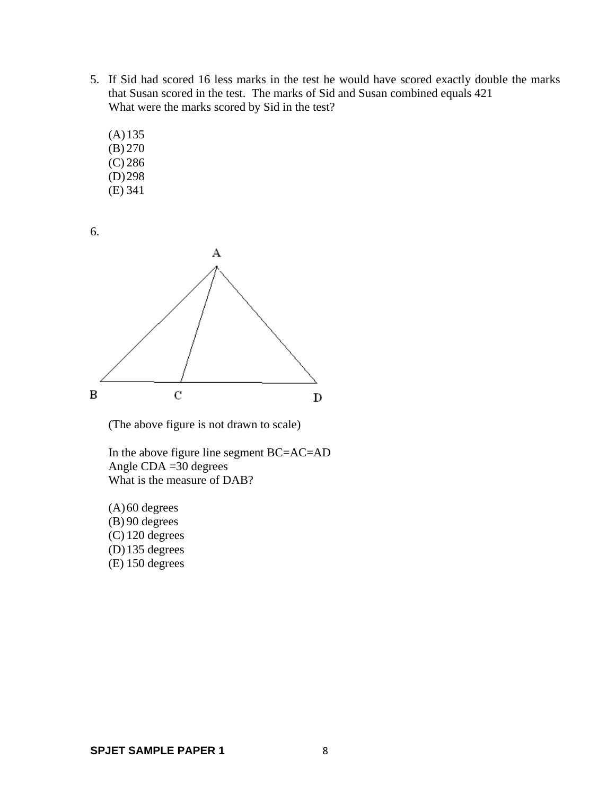- 5. If Sid had scored 16 less marks in the test he would have scored exactly double the marks that Susan scored in the test. The marks of Sid and Susan combined equals 421 What were the marks scored by Sid in the test?
	- (A)135 (B) 270 (C) 286 (D)298
	- (E) 341





(The above figure is not drawn to scale)

 In the above figure line segment BC=AC=AD Angle CDA =30 degrees What is the measure of DAB?

 $(A)$ 60 degrees  $(B)$  90 degrees (C) 120 degrees (D)135 degrees (E) 150 degrees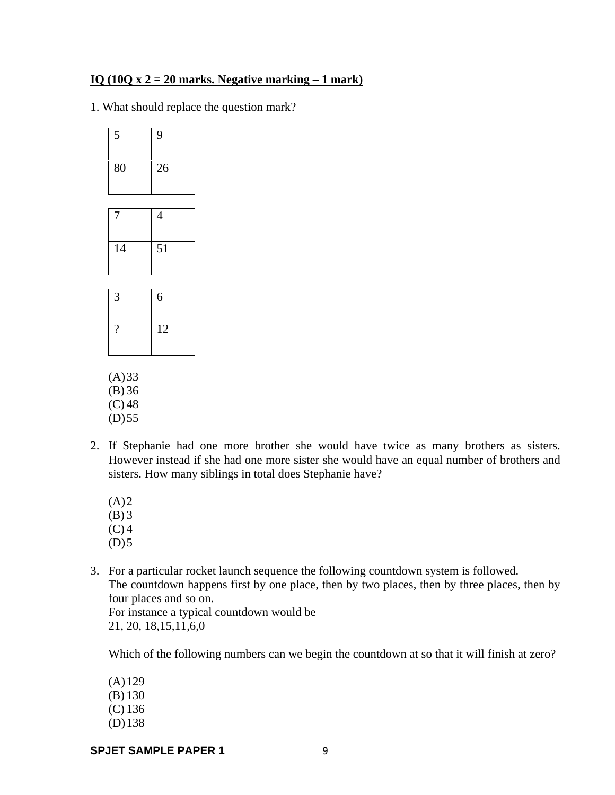#### **IQ (10Q x 2 = 20 marks. Negative marking – 1 mark)**

1. What should replace the question mark?

| 5                        | 9  |
|--------------------------|----|
| 80                       | 26 |
|                          |    |
| 7                        | 4  |
| 14                       | 51 |
|                          |    |
| 3                        | 6  |
| $\overline{\mathcal{L}}$ | 12 |
| (A)33<br>(B) 36          |    |

- $(C) 48$
- $(D) 55$
- 2. If Stephanie had one more brother she would have twice as many brothers as sisters. However instead if she had one more sister she would have an equal number of brothers and sisters. How many siblings in total does Stephanie have?
	- $(A)2$
	- (B) 3
	- $(C)$  4
	- $(D)5$
- 3. For a particular rocket launch sequence the following countdown system is followed. The countdown happens first by one place, then by two places, then by three places, then by four places and so on.

 For instance a typical countdown would be 21, 20, 18,15,11,6,0

Which of the following numbers can we begin the countdown at so that it will finish at zero?

(A)129 (B) 130

- (C) 136
- (D)138

**SPJET SAMPLE PAPER 1** 9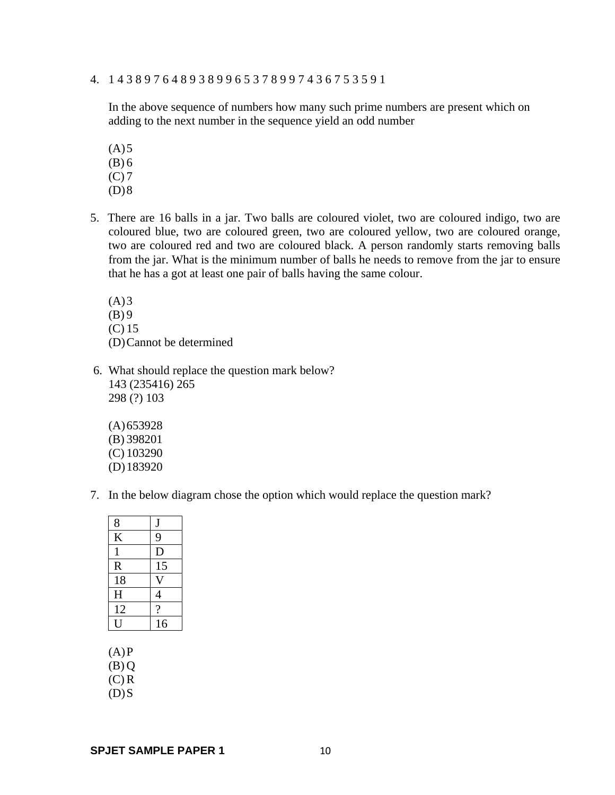4. 1 4 3 8 9 7 6 4 8 9 3 8 9 9 6 5 3 7 8 9 9 7 4 3 6 7 5 3 5 9 1

In the above sequence of numbers how many such prime numbers are present which on adding to the next number in the sequence yield an odd number

- $(A)5$  $(B) 6$  $(C) 7$
- $(D)8$
- 5. There are 16 balls in a jar. Two balls are coloured violet, two are coloured indigo, two are coloured blue, two are coloured green, two are coloured yellow, two are coloured orange, two are coloured red and two are coloured black. A person randomly starts removing balls from the jar. What is the minimum number of balls he needs to remove from the jar to ensure that he has a got at least one pair of balls having the same colour.

 $(A)3$  $(B)$  9 (C) 15 (D)Cannot be determined

- 6. What should replace the question mark below? 143 (235416) 265 298 (?) 103
	- (A)653928 (B) 398201 (C) 103290 (D)183920
- 7. In the below diagram chose the option which would replace the question mark?

| 8            | J                        |
|--------------|--------------------------|
| K            | 9                        |
| $\mathbf{1}$ | $\mathbf D$              |
| R            | 15                       |
| 18           |                          |
| H            | $\overline{\mathcal{L}}$ |
| 12           | $\gamma$                 |
|              | 16                       |

 $(A)P$ 

 $(B) Q$ 

 $(C)$  R

 $(D)$ S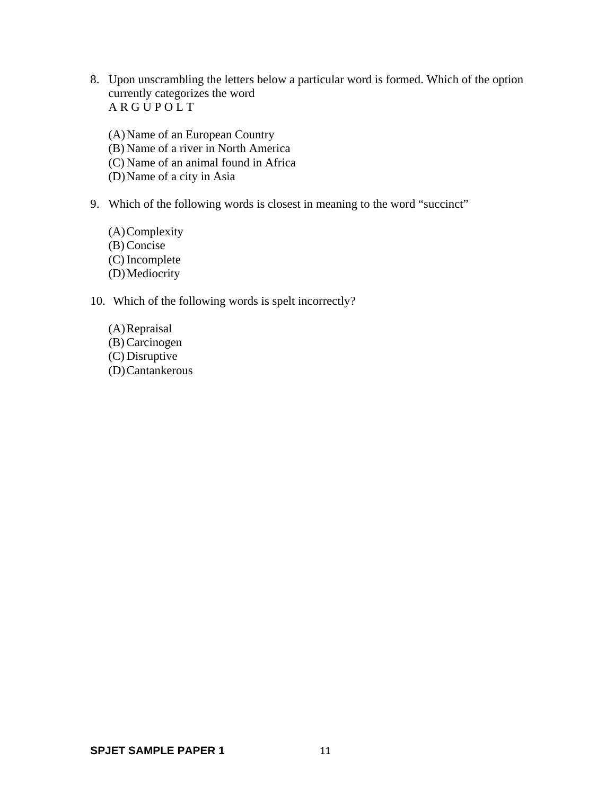8. Upon unscrambling the letters below a particular word is formed. Which of the option currently categorizes the word A R G U P O L T

(A)Name of an European Country (B) Name of a river in North America (C) Name of an animal found in Africa (D)Name of a city in Asia

9. Which of the following words is closest in meaning to the word "succinct"

(A)Complexity (B) Concise (C) Incomplete (D)Mediocrity

10. Which of the following words is spelt incorrectly?

(A)Repraisal (B) Carcinogen (C) Disruptive (D)Cantankerous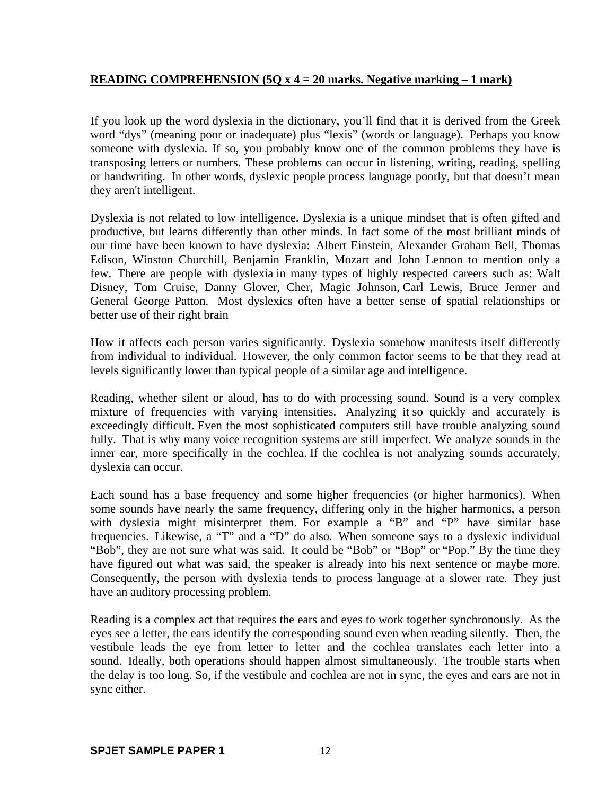## **READING COMPREHENSION (5Q x 4 = 20 marks. Negative marking – 1 mark)**

If you look up the word dyslexia in the dictionary, you'll find that it is derived from the Greek word "dys" (meaning poor or inadequate) plus "lexis" (words or language). Perhaps you know someone with dyslexia. If so, you probably know one of the common problems they have is transposing letters or numbers. These problems can occur in listening, writing, reading, spelling or handwriting. In other words, dyslexic people process language poorly, but that doesn't mean they aren't intelligent.

Dyslexia is not related to low intelligence. Dyslexia is a unique mindset that is often gifted and productive, but learns differently than other minds. In fact some of the most brilliant minds of our time have been known to have dyslexia: Albert Einstein, Alexander Graham Bell, Thomas Edison, Winston Churchill, Benjamin Franklin, Mozart and John Lennon to mention only a few. There are people with dyslexia in many types of highly respected careers such as: Walt Disney, Tom Cruise, Danny Glover, Cher, Magic Johnson, Carl Lewis, Bruce Jenner and General George Patton. Most dyslexics often have a better sense of spatial relationships or better use of their right brain

How it affects each person varies significantly. Dyslexia somehow manifests itself differently from individual to individual. However, the only common factor seems to be that they read at levels significantly lower than typical people of a similar age and intelligence.

Reading, whether silent or aloud, has to do with processing sound. Sound is a very complex mixture of frequencies with varying intensities. Analyzing it so quickly and accurately is exceedingly difficult. Even the most sophisticated computers still have trouble analyzing sound fully. That is why many voice recognition systems are still imperfect. We analyze sounds in the inner ear, more specifically in the cochlea. If the cochlea is not analyzing sounds accurately, dyslexia can occur.

Each sound has a base frequency and some higher frequencies (or higher harmonics). When some sounds have nearly the same frequency, differing only in the higher harmonics, a person with dyslexia might misinterpret them. For example a "B" and "P" have similar base frequencies. Likewise, a "T" and a "D" do also. When someone says to a dyslexic individual "Bob", they are not sure what was said. It could be "Bob" or "Bop" or "Pop." By the time they have figured out what was said, the speaker is already into his next sentence or maybe more. Consequently, the person with dyslexia tends to process language at a slower rate. They just have an auditory processing problem.

Reading is a complex act that requires the ears and eyes to work together synchronously. As the eyes see a letter, the ears identify the corresponding sound even when reading silently. Then, the vestibule leads the eye from letter to letter and the cochlea translates each letter into a sound. Ideally, both operations should happen almost simultaneously. The trouble starts when the delay is too long. So, if the vestibule and cochlea are not in sync, the eyes and ears are not in sync either.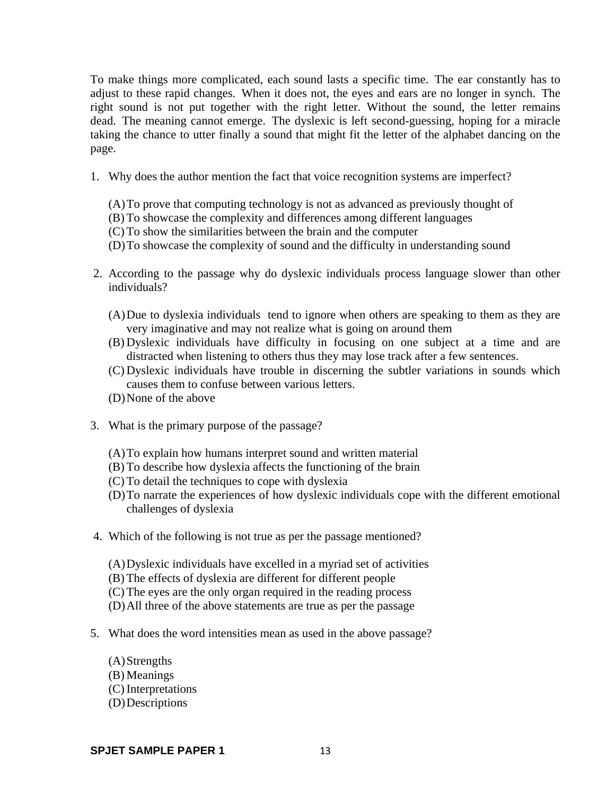To make things more complicated, each sound lasts a specific time. The ear constantly has to adjust to these rapid changes. When it does not, the eyes and ears are no longer in synch. The right sound is not put together with the right letter. Without the sound, the letter remains dead. The meaning cannot emerge. The dyslexic is left second-guessing, hoping for a miracle taking the chance to utter finally a sound that might fit the letter of the alphabet dancing on the page.

- 1. Why does the author mention the fact that voice recognition systems are imperfect?
	- (A)To prove that computing technology is not as advanced as previously thought of
	- (B) To showcase the complexity and differences among different languages
	- (C) To show the similarities between the brain and the computer
	- (D)To showcase the complexity of sound and the difficulty in understanding sound
- 2. According to the passage why do dyslexic individuals process language slower than other individuals?
	- (A)Due to dyslexia individuals tend to ignore when others are speaking to them as they are very imaginative and may not realize what is going on around them
	- (B) Dyslexic individuals have difficulty in focusing on one subject at a time and are distracted when listening to others thus they may lose track after a few sentences.
	- (C) Dyslexic individuals have trouble in discerning the subtler variations in sounds which causes them to confuse between various letters.
	- (D)None of the above
- 3. What is the primary purpose of the passage?
	- (A)To explain how humans interpret sound and written material
	- (B) To describe how dyslexia affects the functioning of the brain
	- (C) To detail the techniques to cope with dyslexia
	- (D)To narrate the experiences of how dyslexic individuals cope with the different emotional challenges of dyslexia
- 4. Which of the following is not true as per the passage mentioned?
	- (A)Dyslexic individuals have excelled in a myriad set of activities
	- (B) The effects of dyslexia are different for different people
	- (C) The eyes are the only organ required in the reading process
	- (D)All three of the above statements are true as per the passage
- 5. What does the word intensities mean as used in the above passage?
	- (A)Strengths (B) Meanings (C) Interpretations (D)Descriptions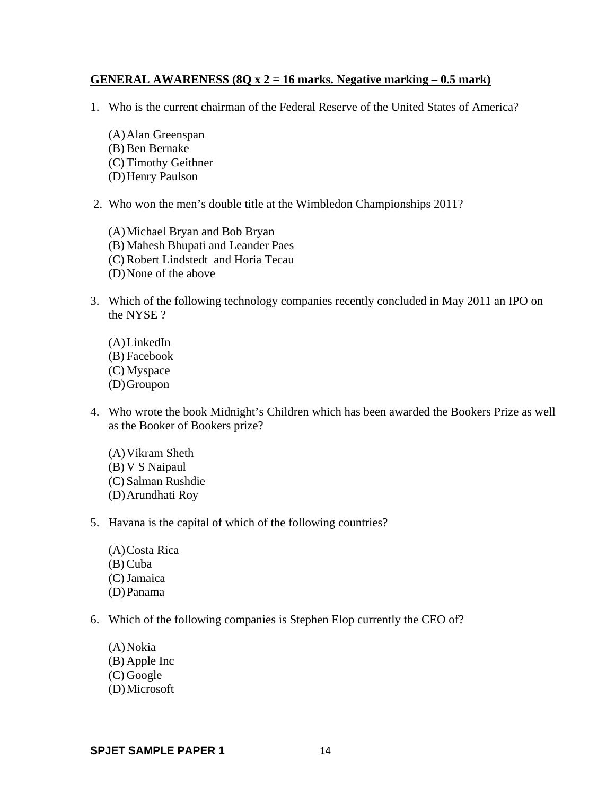#### **GENERAL AWARENESS (8Q x 2 = 16 marks. Negative marking – 0.5 mark)**

- 1. Who is the current chairman of the Federal Reserve of the United States of America?
	- (A)Alan Greenspan (B) Ben Bernake (C) Timothy Geithner (D)Henry Paulson
- 2. Who won the men's double title at the Wimbledon Championships 2011?
	- (A)Michael Bryan and Bob Bryan (B) Mahesh Bhupati and Leander Paes (C) Robert Lindstedt and Horia Tecau (D)None of the above
- 3. Which of the following technology companies recently concluded in May 2011 an IPO on the NYSE ?
	- (A)LinkedIn (B) Facebook (C) Myspace (D)Groupon
- 4. Who wrote the book Midnight's Children which has been awarded the Bookers Prize as well as the Booker of Bookers prize?
	- (A)Vikram Sheth (B) V S Naipaul (C) Salman Rushdie (D)Arundhati Roy
- 5. Havana is the capital of which of the following countries?
	- (A)Costa Rica (B) Cuba (C)Jamaica (D)Panama
- 6. Which of the following companies is Stephen Elop currently the CEO of?
	- (A)Nokia (B) Apple Inc (C) Google (D)Microsoft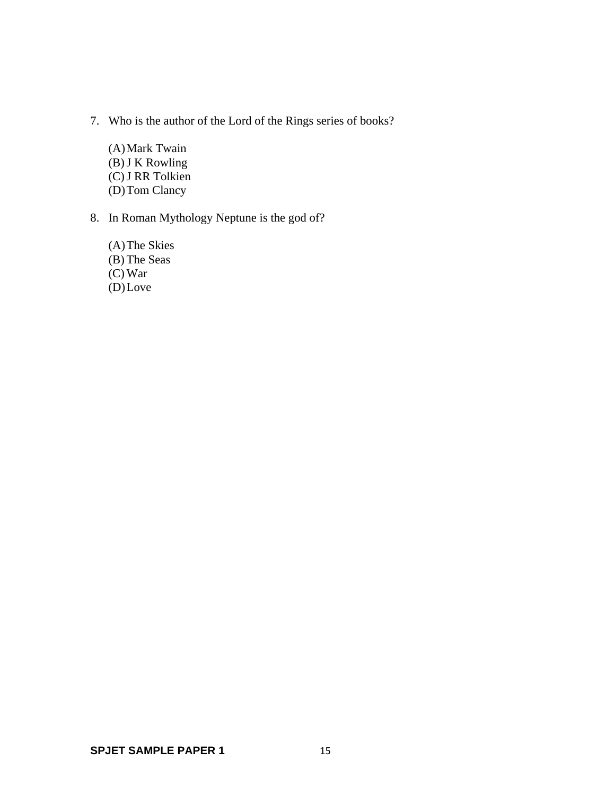- 7. Who is the author of the Lord of the Rings series of books?
	- (A)Mark Twain  $(B)$  J K Rowling (C)J RR Tolkien (D)Tom Clancy
- 8. In Roman Mythology Neptune is the god of?
	- (A)The Skies (B) The Seas (C) War (D)Love